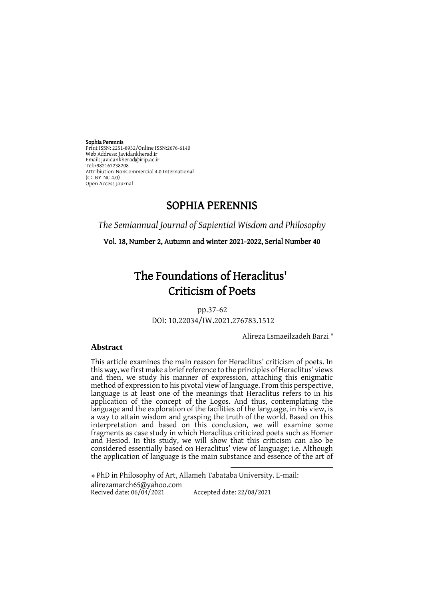Sophia Perennis Print ISSN: 2251-8932/Online ISSN:2676-6140 Web Address: Javidankherad.ir Email[: javidankherad@irip.ac.ir](mailto:javidankherad@irip.ac.ir) [Tel:+982167238208](tel:+982167238208) Attribiution-NonCommercial 4.0 International (CC BY-NC 4.0) Open Access Journal

# SOPHIA PERENNIS

*The Semiannual Journal of Sapiential Wisdom and Philosophy*

Vol. 18, Number 2, Autumn and winter 2021-2022, Serial Number 40

# The Foundations of Heraclitus' Criticism of Poets

pp.37-62 DOI: 10.22034/IW.2021.276783.1512

\* Alireza Esmaeilzadeh Barzi

# **Abstract**

This article examines the main reason for Heraclitus' criticism of poets. In this way, we first make a brief reference to the principles of Heraclitus' views and then, we study his manner of expression, attaching this enigmatic method of expression to his pivotal view of language. From this perspective, language is at least one of the meanings that Heraclitus refers to in his application of the concept of the Logos. And thus, contemplating the language and the exploration of the facilities of the language, in his view, is a way to attain wisdom and grasping the truth of the world. Based on this interpretation and based on this conclusion, we will examine some fragments as case study in which Heraclitus criticized poets such as Homer and Hesiod. In this study, we will show that this criticism can also be considered essentially based on Heraclitus' view of language; i.e. Although the application of language is the main substance and essence of the art of

1

\* PhD in Philosophy of Art, Allameh Tabataba University. E-mail: [alirezamarch65@yahoo.com](mailto:alirezamarch65@yahoo.com)<br>Recived date: 06/04/2021 Accepted date: 22/08/2021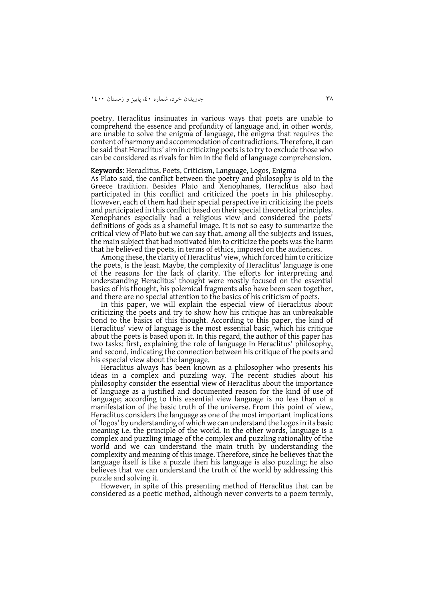poetry, Heraclitus insinuates in various ways that poets are unable to comprehend the essence and profundity of language and, in other words, are unable to solve the enigma of language, the enigma that requires the content of harmony and accommodation of contradictions. Therefore, it can be said that Heraclitus' aim in criticizing poets is to try to exclude those who can be considered as rivals for him in the field of language comprehension.

#### Keywords: Heraclitus, Poets, Criticism, Language, Logos, Enigma

As Plato said, the conflict between the poetry and philosophy is old in the Greece tradition. Besides Plato and Xenophanes, Heraclitus also had participated in this conflict and criticized the poets in his philosophy. However, each of them had their special perspective in criticizing the poets and participated in this conflict based on their special theoretical principles. Xenophanes especially had a religious view and considered the poets' definitions of gods as a shameful image. It is not so easy to summarize the critical view of Plato but we can say that, among all the subjects and issues, the main subject that had motivated him to criticize the poets was the harm that he believed the poets, in terms of ethics, imposed on the audiences.

Among these, the clarity of Heraclitus' view, which forced him to criticize the poets, is the least. Maybe, the complexity of Heraclitus' language is one of the reasons for the lack of clarity. The efforts for interpreting and understanding Heraclitus' thought were mostly focused on the essential basics of his thought, his polemical fragments also have been seen together, and there are no special attention to the basics of his criticism of poets.

In this paper, we will explain the especial view of Heraclitus about criticizing the poets and try to show how his critique has an unbreakable bond to the basics of this thought. According to this paper, the kind of Heraclitus' view of language is the most essential basic, which his critique about the poets is based upon it. In this regard, the author of this paper has two tasks: first, explaining the role of language in Heraclitus' philosophy, and second, indicating the connection between his critique of the poets and his especial view about the language.

Heraclitus always has been known as a philosopher who presents his ideas in a complex and puzzling way. The recent studies about his philosophy consider the essential view of Heraclitus about the importance of language as a justified and documented reason for the kind of use of language; according to this essential view language is no less than of a manifestation of the basic truth of the universe. From this point of view, Heraclitus considers the language as one of the most important implications of 'logos' by understanding of which we can understand the Logos in its basic meaning i.e. the principle of the world. In the other words, language is a complex and puzzling image of the complex and puzzling rationality of the world and we can understand the main truth by understanding the complexity and meaning of this image. Therefore, since he believes that the language itself is like a puzzle then his language is also puzzling; he also believes that we can understand the truth of the world by addressing this puzzle and solving it.

However, in spite of this presenting method of Heraclitus that can be considered as a poetic method, although never converts to a poem termly,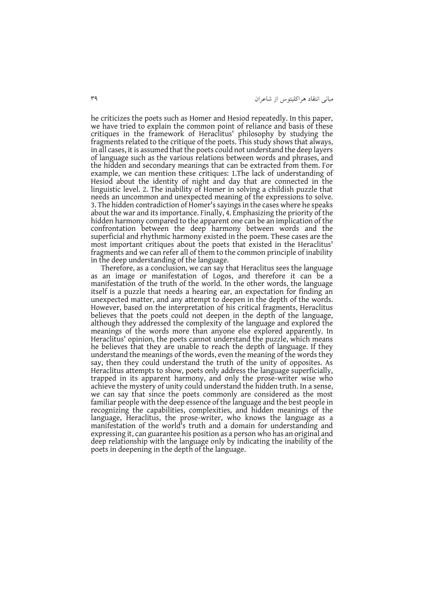he criticizes the poets such as Homer and Hesiod repeatedly. In this paper, we have tried to explain the common point of reliance and basis of these critiques in the framework of Heraclitus' philosophy by studying the fragments related to the critique of the poets. This study shows that always, in all cases, it is assumed that the poets could not understand the deep layers of language such as the various relations between words and phrases, and the hidden and secondary meanings that can be extracted from them. For example, we can mention these critiques: 1.The lack of understanding of Hesiod about the identity of night and day that are connected in the linguistic level. 2. The inability of Homer in solving a childish puzzle that needs an uncommon and unexpected meaning of the expressions to solve. 3. The hidden contradiction of Homer's sayings in the cases where he speaks about the war and its importance. Finally, 4. Emphasizing the priority of the hidden harmony compared to the apparent one can be an implication of the confrontation between the deep harmony between words and the superficial and rhythmic harmony existed in the poem. These cases are the most important critiques about the poets that existed in the Heraclitus' fragments and we can refer all of them to the common principle of inability in the deep understanding of the language.

Therefore, as a conclusion, we can say that Heraclitus sees the language as an image or manifestation of Logos, and therefore it can be a manifestation of the truth of the world. In the other words, the language itself is a puzzle that needs a hearing ear, an expectation for finding an unexpected matter, and any attempt to deepen in the depth of the words. However, based on the interpretation of his critical fragments, Heraclitus believes that the poets could not deepen in the depth of the language, although they addressed the complexity of the language and explored the meanings of the words more than anyone else explored apparently. In Heraclitus' opinion, the poets cannot understand the puzzle, which means he believes that they are unable to reach the depth of language. If they understand the meanings of the words, even the meaning of the words they say, then they could understand the truth of the unity of opposites. As Heraclitus attempts to show, poets only address the language superficially, trapped in its apparent harmony, and only the prose-writer wise who achieve the mystery of unity could understand the hidden truth. In a sense, we can say that since the poets commonly are considered as the most familiar people with the deep essence of the language and the best people in recognizing the capabilities, complexities, and hidden meanings of the language, Heraclitus, the prose-writer, who knows the language as a manifestation of the world's truth and a domain for understanding and expressing it, can guarantee his position as a person who has an original and deep relationship with the language only by indicating the inability of the poets in deepening in the depth of the language.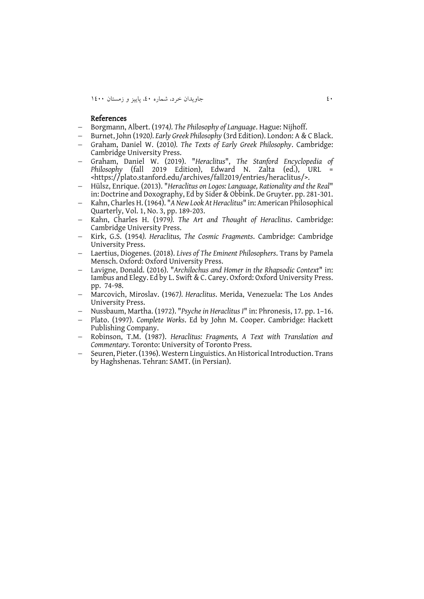04 جاويدان خرد، شماره ،04 پايیز و زمستان 0044

#### References

- Borgmann, Albert. (1974*). The Philosophy of Language*. Hague: Nijhoff.
- Burnet, John (1920*). Early Greek Philosophy* (3rd Edition). London: A & C Black.
- Graham, Daniel W. (2010*). The Texts of Early Greek Philosophy*. Cambridge: Cambridge University Press.
- Graham, Daniel W. (2019). "*Heraclitus*", *The Stanford Encyclopedia of Philosophy* (fall 2019 Edition), Edward N. Zalta (ed.), URL <https://plato.stanford.edu/archives/fall2019/entries/heraclitus/>.
- Hülsz, Enrique. (2013). "*Heraclitus on Logos: Language, Rationality and the Real*" in: Doctrine and Doxography, Ed by Sider & Obbink. De Gruyter. pp. 281-301.
- Kahn, Charles H. (1964). "*A New Look At Heraclitus*" in: American Philosophical Quarterly, Vol. 1, No. 3, pp. 189-203.
- Kahn, Charles H. (1979*). The Art and Thought of Heraclitus*. Cambridge: Cambridge University Press.
- Kirk, G.S. (1954*). Heraclitus, The Cosmic Fragments*. Cambridge: Cambridge University Press.
- Laertius, Diogenes. (2018). *Lives of The Eminent Philosophers*. Trans by Pamela Mensch. Oxford: Oxford University Press.
- Lavigne, Donald. (2016). "*Archilochus and Homer in the Rhapsodic Context*" in: Iambus and Elegy. Ed by L. Swift & C. Carey. Oxford: Oxford University Press. pp. 74-98.
- Marcovich, Miroslav. (1967*). Heraclitus*. Merida, Venezuela: The Los Andes University Press.
- Nussbaum, Martha. (1972). "*Psyche in Heraclitus I*" in: Phronesis, 17. pp. 1–16.
- Plato. (1997). *Complete Works*. Ed by John M. Cooper. Cambridge: Hackett Publishing Company.
- Robinson, T.M. (1987). *Heraclitus: Fragments, A Text with Translation and Commentary.* Toronto: University of Toronto Press.
- Seuren, Pieter. (1396). Western Linguistics. An Historical Introduction. Trans by Haghshenas. Tehran: SAMT. (in Persian).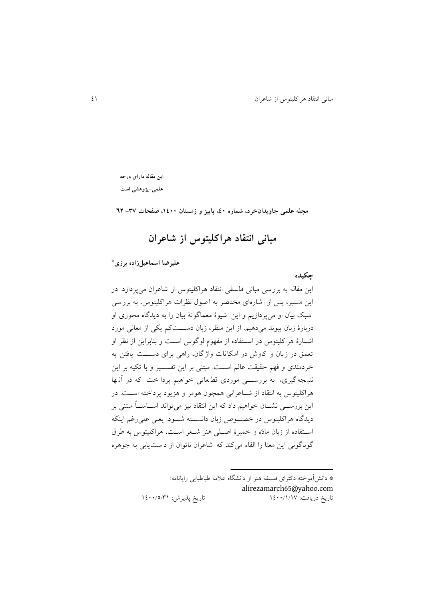**این مقاله دارای درجه علمی-پژوهشی است**

**مبانی انتقاد هراکلیتوس از شاعران**

**مجله علمی جاویدانخرد، شماره ،04 پاییز و زمستان ،0044 صفحات -73 26**

**\* علیرضا اسماعیلزاده برزی**

**چکیده** اين مقاله به بررسی مبانی فلسفی انتقاد هراکلیتوس از شاعران می پردازد. در اين م سیر، پس از اشاره ای مختصر به اصول نظرات هراکلیتوس، به بررسی سبک بیان او میپردازيم و اين شیوة معماگونة بیان را به ديدگاه محوری او دربارة زبان پیوند میدهیم. از اين منظر، زبان دستتت کم يکی از معانی مورد اشتارة هراکلیتوس در استتفاده از مفمول لوگوس است و بنابراين از نظر او تعمق در زبان و کاوش در امکانات واژگان، راهی برای دســـت يافتن به خردمندی و فهم حقیقت عالم اســت. مبتنی بر این تفســير و با تکیه بر اين نتیجه گیری، به بررس<sub>تی</sub> موردی قط عاتی خواهیم پردا خت که در آنها هراکلیتوس به انتقاد از شتتاعرانی همنون هومر و هزيود پرداخته استت . در اين بررســي نشــان خواهیم داد که اين انتقاد نيز می تواند اســـاســـاً مبتنی بر ديدگاه هراکليتوس در خصـوص زبان دانســته شــود. يعنی علی رغم اينکه استفاده از زبان مادّه و خمیرهٔ اصلی هنر شعر است، هراکلیتوس به طرق گوناگونی اين معنا را القاء می کند که شاعران ناتوان از د ست يابی به جوهره

> \* دانشآموخته دکترای فلسفه هنر از داننگاه عالمه با بايی رايانامه: [alirezamarch65@yahoo.com](mailto:alirezamarch65@yahoo.com) تاريخ دريافت: ١٤٠٠/١/١٧ مه : تاريخ پذيرش: ١٤٠٠/٥/٣١

**.**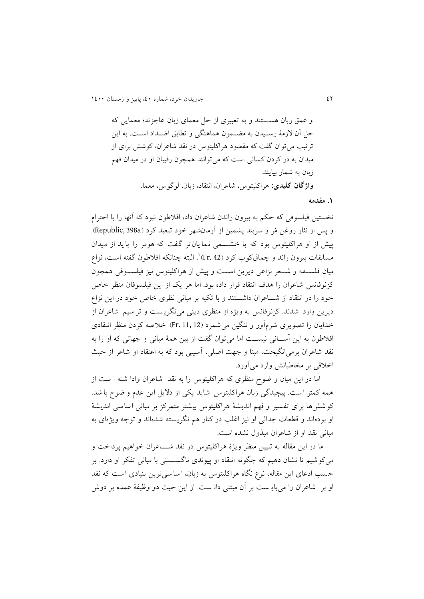و عمق زبان هستتند و به تعبیری از حل معمای زبان عاجزند؛ معمایی که حل آن لازمهٔ رسـیدن به مضــمون هماهنگی و تطابق اضــداد اســت. به این ترتیب می توان گفت که مقصود هراکلیتوس در نقد شاعران، کوشش برای از میدان به در کردن کسانی است که می توانند همچون رقیبان او در میدان فهم زبان به شمار بیايند. **واژگان کلیدی:** هراکلیتوس، شاعران، انتقاد، زبان، لوگوس، معما.

**.0 مقدمه**

نخستین فیلسوفی که حکم به بیرون راندن شاعران داد، افال ون نبود که آنما را با احترال و پس از نثار روغن مُر و سربند پشمین از آرمانشهر خود تبعید کرد (Republic, 398a). پیش از او هراکلیتوس بود که با خشـــمی نمایان تر گفت که هومر را باید از میدان مسابقات بیرون راند و چماق2کوب کرد (Fr. 42) ْ. البته چنانکه افلاطون گفته است، نزاع میان فلستتفه و شتتعر نزاعی ديرين استت و پیش از هراکلیتوس نیز فیلستتوفی همنون کزنوفانس شاعران را هدف انتقاد قرار داده بود. اما هر يک از اين فيلسوفان منظر خاص خود را در انتقاد از شـــاعران داشـــتند و با تکیه بر مبانی نظری خاص خود در اين نزاع ديرين وارد شدند. کزنوفانس به ويژه از منظری دينی می $\mathcal{S}_{\zeta}$ ويست و تر سيم شاعران از خدايان را تصويری شرمآور و ننگين می شمرد (11, 12 .Fr). خلاصه کردن منظر انتقادی افلاطون به این آســانی نیســت اما می توان گفت از بین همهٔ مبانی و جهاتی که او را به نقد شاعران برمی انگیخت، مبنا و جهت اصلی، آسیبی بود که به اعتقاد او شاعر از حیث اخالقی بر مخا بانش وارد میآورد.

اما در اين ميان و ضوح منظری که هراکليتوس را به نقد شاعران وادا شته ا ست از همه کمتر است. پیچیدگی زبان هراکلیتوس شاید یکی از دلایل این عدم و ضوح با شد. کو شش ها برای تفسیر و فهم اندیشهٔ هراکلیتوس بیشتر متمرکز بر مبانی اساسی اندیشهٔ او بودهاند و قطعات جدالی او نیز اغلب در کنار هم نگريسته شده اند و توجه ويژهای به مبانی نقد او از شاعران مبذول نشده است.

ما در اين مقاله به تبيين منظر ويژهٔ هراکليتوس در نقد شــــاعران خواهیم پرداخت و میکوشیم تا ننان دهیم که چگونه انتقاد او پیوندی ناگسستنی با مبانی تفکر او دارد. بر حسب ادعای اين مقاله، نوع نگاه هراکليتوس به زبان، اسا سی ترين بنيادی است که نقد او بر شاعران را می بايـ ست بر آن مبتنی دانـ ست. از اين حيث دو وظيفهٔ عمده بر دوش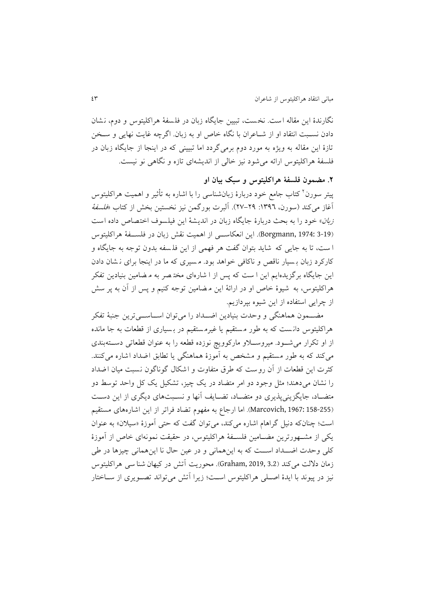نگارندهٔ این مقاله است. نخست، تبیین جایگاه زبان در فلسفهٔ هراکلیتوس و دوم، نشان دادن نسـبت انتقاد او از شـاعران با نگاه خاص او به زبان. اگرچه غايت نهايی و سـخن تازهٔ اين مقاله به ويژه به مورد دوم برمی گردد اما تبيينی که در اينجا از جايگاه زبان در فلسفهٔ هراکلیتوس ارائه می شود نیز خالی از اندیشهای تازه و نگاهی نو نیست.

**.6 مضمون فلسفة هراکلیتوس و سبک بیان او**

پیتر سورن<sup>۲</sup> کتاب جامع خود دربارهٔ زبانشناسی را با اشاره به تأثیر و اهمیت هراکلیتوس آغاز می کند (سورن، ١٣٩٦: ٢٩-٢٧). آلبرت بورگمن نیز نخستین بخش از کتاب *«فلسفهٔ* زبان» خود را به بحث دربارهٔ جايگاه زبان در انديشهٔ اين فيلسوف اختصاص داده است )3-19 1974: ,Borgmann). اين انعکاستتی از اهمی نقش زبان در فلستتفة هراکلیتوس ا ست، تا به جايي كه شايد بتوان گفت هر فهمي از اين فلـسفه بدون توجه به جايگاه و کارکرد زبان بـ سیار ناقص و ناکافی خواهد بود. مـسیری که ما در اینجا برای نـ شان دادن اين جايگاه برگزيدهايم اين ا ست که پس از ا شارهای مخت صر به م ضامين بنيادين تفکر هراکلیتوس، به شیوهٔ خاص او در ارائهٔ این م ضامین توجه کنیم و پس از آن به پر سش از چرايی استفاده از اين شیوه بپردازيم.

مضــمون هماهنگی و وحدت بنیادين اضــداد را می توان اســاســی ترين جنبهٔ تفکر هراکلیتوس دانست که به طور مستقیم یا غیرمستقیم در بسیاری از قطعات به جا مانده از او تکرار می شود. میروسلاو مارکوویچ نوزده قطعه را به عنوان قطعاتی دستهبندی می کند که به طور مستقیم و مشخص به آموزهٔ هماهنگی یا تطابق اضداد اشاره می کنند. کثرت اين قطعات از آن روست که طرق متفاوت و اشکال گوناگون نسبت میان اضداد را نشان میدهند؛ مثل وجود دو امر متضاد در يک چيز، تشکيل يک کل واحد توسط دو متضـاد، جايگزيني پذيري دو متضـاد، تضـايف آنها و نسـبتهاي ديگري از اين دسـت )158-255 1967: ,Marcovich). اما ارجاع به مفمول تواد فراتر از اين اشاره های مستقیم است؛ چنانکه دنیل گراهام اشاره میکند، میتوان گفت که حتی آموزهٔ «سیلان» به عنوان يکی از مشــهورترين مضــامين فلســفهٔ هراکليتوس، در حقیقت نمونهای خاص از آموزهٔ کلی وحدت اضــداد اســت که به اين همانی و در عین حال نا اين همانی چیزها در طی زمان دلالت میکند (3.2 Graham, 2019, 3.2). محوريت آتش در کیهان شنا سی هراکلیتوس نیز در پیوند با ایدهٔ اصلی هراکلیتوس است؛ زیرا آتش می تواند تصـویری از سـاختار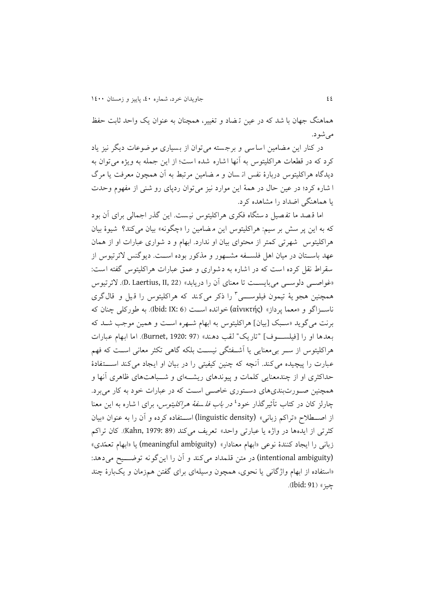هماهنگ جمان با شد که در عین ت واد و تغییر، همننان به عنوان يک واحد ثاب حفظ میشود.

در کنار اين مضامين اساسی و برجسته می توان از بسیاری موضوعات ديگر نيز ياد کرد که در قطعات هراکلیتوس به آنها اشاره شده است؛ از اين جمله به ويژه می توان به ديدگاه هراکليتوس دربارهٔ نفس از سان و م ضامين مرتبط به آن همچون معرفت يا مرگ ا شاره کرد؛ در عین حال در همهٔ این موارد نیز میتوان ردپای رو شنی از مفهوم وحدت يا هماهنگی ا داد را مناهده کرد.

اما قـصد ما تفـصیل دستگاه فکری هراکلیتوس نیست. این گذر اجمالی برای آن بود که به اين پر سش بر سيم: هراکليتوس اين م ضامين را «چگونه» بيان میکند؟ شيوهٔ بيان هراکلیتوس شمرتی کمتر از محتوای بیان او ندارد. ابمال و د شواری عبارات او از همان عهد باســتان در میان اهل فلســفه مشـــهور و مذکور بوده اســت. ديوگنس لائرتیوس از سقراط نقل کرده است که در اشاره به دشواری و عمق عبارات هراکلیتوس گفته است: »غواصتتی دلوستتی میبايستت تا معنای آن را دريابد« )22 ,II ,Laertius .D). الئرتیوس همچنین هجو یهٔ تیمون فیلوســـی<sup>۳</sup> را ذکر میکند که هراکلیتوس را قبیل و قالگری ناستتزاگو و »معما پرداز« (αἰνικτής (خوانده استت )6 :IX :Ibid). به ورکلی چنان که برنت می گوید «سبک [بیان] هراکلیتوس به ابهام شـهره اسـت و همین موجب شـد که بعدها او را یفیلستتتوفه "تاريک " لقب دهند « )97 1920: ,Burnet). اما ابمال عبارات هراکلیتوس از ستتر بیمعنايی يا آشتتفتگی نیستت بلکه گاهی تکثر معانی استت که فمم عبارت را پیچیده می کند. آنچه که چنین کیفیتی را در بیان او ایجاد می کند استقادهٔ حداکثری او از چندمعنايی کلمات و پیوندهای ريشــــهای و شـــباهتهای ظاهری آنها و همننین صتورتبندیهای دستتوری خاصتی است که در عبارات خود به کار میبرد. چارلز کان در کتاب تأثیرگذار خود<sup>، محر</sup>ب *باب فلسفهٔ هراکلیتوس،* برای ا شاره به این معنا از اصتتطالح »تراکم زبانی« (density linguistic (استتتفاده کرده و آن را به عنوان »بیان کثرتی از ايدهها در واژه يا عبارتی واحد» تعريف میکند (89 :Kahn, 1979). کان تراکم زبانی را ايجاد كنندهٔ نوعی «ابهام معنادار» (meaningful ambiguity) يا «ابهام تعمّدي» (intentional ambiguity) در متن قلمداد می کند و آن را اين گونه توضـــيح می دهد: «استفاده از ابهام واژگانی يا نحوی، همچون وسیلهای برای گفتن همزمان و يکبارهٔ چند جیز » (91 :Ibid).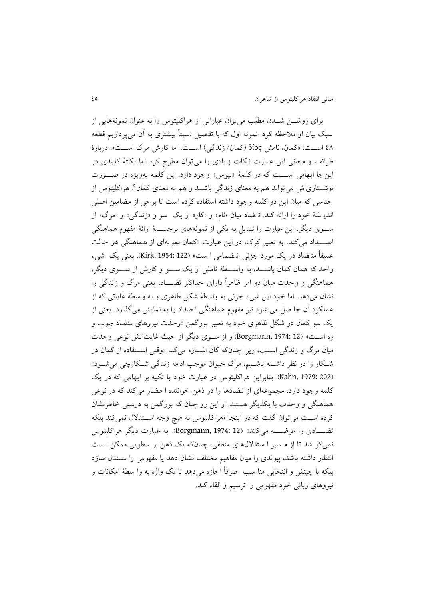برای روشتتن شتتدن مطلب میتوان عباراتی از هراکلیتوس را به عنوان نمونههايی از سبک بیان او ملاحظه کرد. نمونه اول که با تفصیل نسبتاً بیشتری به آن می پردازیم قطعه 03 استت : »کمان، نامش βίος( کمان/ زندگی( استت ، اما کارش مرگ استت «. دربارة ظرائف و معانی اين عبارت نكات زيادى را می توان مطرح كرد اما نكتهٔ كليدى در اين جا ايهامي استت که در کلمهٔ «بيوس» وجود دارد. اين کلمه بهويژه در صورت نوشــتاریاش میٍتواند هم به معنای زندگی باشــد و هم به معنای کمان°. هراکلیتوس از جناسی که میان این دو کلمه وجود داشته استفاده کرده است تا برخی از مضامین اصلی اندي شهٔ خود را ارائه کند. ته ضاد میان «نام» و «کار» از يک سو و «زندگی» و «مرگ» از ســـوی ديگر، اين عبارت را تبديل به يکی از نمونههای برجســـتهٔ ارائهٔ مفهوم هماهنگی اضــــــــداد میکند. به تعبیر کِرک، در این عبارت «کمان نمونهای از هماهنگی دو حالت عمیقاً متـضاد در يک مورد جزئی انـضمامی ا ست» (Kirk, 1954: 122). يعنی يک شيء واحد که همان کمان باشتتد، به واستتطة نامش از يک ستتو و کارش از ستتوی ديگر، هماهنگی و وحدت میان دو امر ظاهرا دارای حداکثر توتتتاد، يعنی مرگ و زندگی را نشان میدهد. اما خود اين شيء جزئی به واسطهٔ شکل ظاهری و به واسطهٔ غاياتی که از عملکرد آن حا صل می شود نیز مفهوم هماهنگی ا ضداد را به نمايش میگذارد. يعنی از يک سو کمان در شکع ظاهری خود به تعبیر بورگمن »وحدت نیروهای متواد چوب و زه است» (Borgmann, 1974: 12) و از سوی ديگر از حيث غايتاتش نوعی وحدت میان مرگ و زندگی است، زیرا چنانکه کان اشـاره میکند «وقتی اسـتفاده از کمان در شتکار را در نظر داشتته باشتیم، مرگ حیوان موجب ادامه زندگی شتکارچی میشتود« )202 1979: ,Kahn). بنابراين هراکلیتوس در عبارت خود با تکیه بر ايمامی که در يک کلمه وجود دارد، مجموعهای از تضادها را در ذهن خواننده احضار می کند که در نوعی هماهنگی و وحدت با يکديگر هستند. از اين رو چنان که بورگمن به درستی خاطرنشان کرده اســت میتوان گفت که در اينجا «هراکليتوس به هيچ وجه اســتدلال نمیکند بلکه توتتتادی را عر تتته می کند « )12 1974: ,Borgmann). به عبارت ديگر هراکلیتوس نمیکو شد تا از م سیر ا ستدالل های منطقی، چنانکه يک ذهن ار سطويی ممکن ا س انتظار داشته باشد، پیوندی را میان مفاهیم مختلف نشان دهد یا مفهومی را مستدل سازد بلکه با چینش و انتخابی منا سب صرفاً اجازه می دهد تا یک واژه به وا سطهٔ امکانات و نیروهای زبانی خود مفمومی را ترسیم و القاء کند.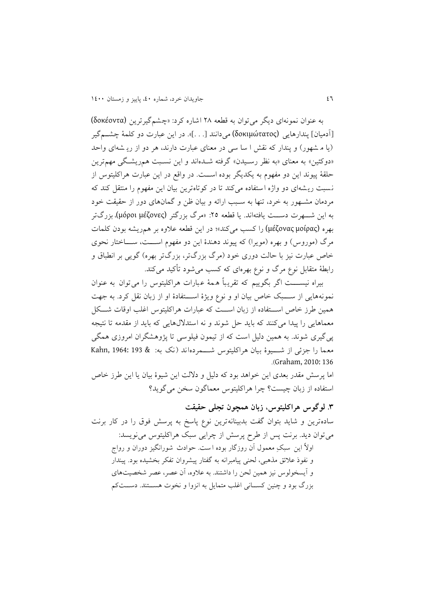به عنوان نمونهای ديگر میتوان به قطعه 43 اشاره کرد: »چنم گیرترين (δοκέοντα( یآدمیانه پندارهايی (δοκιμώτατος (میدانند ی. . .ه«. در اين عبارت دو کلمة چنتتمگیر (يا م شهور) و پندار که نقش ا سا سی در معنای عبارت دارند، هر دو از ري شهای واحد «دوکئین» به معنای «به نظر رسـيدن» گرفته شـدهاند و اين نسـبت همريشگی مهمترين حلقة پیوند اين دو مفمول به يکديگر بوده استت . در واقع در اين عبارت هراکلیتوس از نسبت ريشهای دو واژه استفاده می کند تا در کوتاهترين بيان اين مفهوم را منتقل کند که مردمان منتمور به خرد، تنما به ستبب ارائه و بیان ظن و گمانهای دور از حقیق خود به اين شـــهرت دســـت يافته|ند. يا قطعه ٢٥: «مرگ بزرگتر (μόροι μέζονες)، بزرگتر بهره (μέζονας μοίρας) را کسب می کند»؛ در اين قطعه علاوه بر همريشه بودن کلمات مرگ (موروس) و بهره (مويرا) که پيوند دهندۀ اين دو مفهوم اســـت، ســـاختار نحوی خاص عبارت نیز با حالت دوری خود (مرگ بزرگتر، بزرگتر بهره) گويی بر انطباق و رابطهٔ متقابل نوع مرگ و نوع بهرهای که کسب میشود تأکید میکند.

بیراه نیســـت اگر بگويیم که تقريباً همهٔ عبارات هراکلیتوس را می توان به عنوان نمونههايی از ســـبک خاص بیان او و نوع ويژهٔ اســـتفادهٔ او از زبان نقل کرد. به جهت همین طرز خاص استفاده از زبان است که عبارات هراکلیتوس اغلب اوقات شکل معماهايی را پیدا میکنند که بايد حل شوند و نه استدلال هايی که بايد از مقدمه تا نتیجه پی گیری شوند. به همین دلیل است که از تیمون فیلوسی تا پژوهشگران امروزی همگی معما را جزئی از شـــيوهٔ بيان هراکليتوس شـــمردهاند (نک به: & 193 :Kahn, 1964 .)Graham, 2010: 136

اما پرسش مقدر بعدی اين خواهد بود که دليل و دلالت اين شيوهٔ بيان يا اين طرز خاص استفاده از زبان چیس ؟ چرا هراکلیتوس معماگون سخن میگويد؟

**.7 لوگوس هراکلیتوس، زبان همچون تجلی حقیقت** سادهترين و شايد بتوان گفت بدبينانهترين نوع پاسخ به پرسش فوق را در کار برنت میتوان ديد. برنت پس از طرح پرسش از چرايی سبک هراکليتوس می نويسد: اولاً اين سبکِ معمول آن روزگار بوده ا ست. حوادث شورانگیز دوران و رواج و نفوذ عالئق مذهبی، لحنی پیامبرانه به گفتار پینروان تفکر بخنیده بود. پیندار و آيسخولوس نیز همین لحن را داشتند. به عالوه، آن عصر، عصر شخصی های بزرگ بود و چنین کسـانی اغلب متمایل به انزوا و نخوت هســتند. دســتکم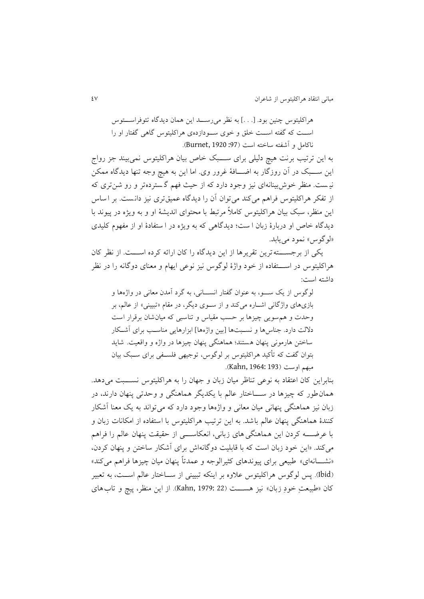هراکلیتوس چنین بود. ی. . .ه به نظر میرستتد اين همان ديدگاه تئوفراستتتوس استت که گفته استت خلق و خوی ستتودازده ی هراکلیتوس گاهی گفتار او را ناکامل و آشفته ساخته است (97: Burnet, 1920).

به این ترتیب برنت هیچ دلیلی برای ســـبک خاص بیان هراکلیتوس نمی بیند جز رواج اين ســـبک در آن روزگار به اضــــافهٔ غرور وی. اما اين به هیچ وجه تنها ديدگاه ممکن نیمست. منظر خوش بینانهای نیز وجود دارد که از حیث فهم گستردهتر و رو شن تری که از تفکر هراکلیتوس فراهم میکند میتوان آن را ديدگاه عمیقتری نیز دان س . بر ا ساس اين منظر، سبک بيان هراکليتوس کاملاً مرتبط با محتوای انديشهٔ او و به ويژه در پيوند با ديدگاه خاص او دربارهٔ زبان ا ست؛ ديدگاهی که به ويژه در ا ستفادهٔ او از مفهوم کليدی «لوگوس» نمود می یابد.

يکی از برجستتتته ترين تقريرها از اين ديدگاه را کان ارائه کرده استتت . از نظر کان هراکلیتوس در استتتتفاده از خود واژة لوگوس نیز نوعی ايمال و معنای دوگانه را در نظر داشته است:

لوگوس از يک ستتو، به عنوان گفتار انستتانی، به گرد آمدن معانی در واژه ها و بازیهای واژگانی اشتاره میکند و از ستتوی ديگر، در مقال »تبیینی« از عالم، بر وحدت و همسويی چیزها بر حسب مقیاس و تناسبی که میان شان برقرار اس دلالت دارد. جناسها و نسـبتها [بین واژهها] ابزارهایی مناسـب برای آشـكار ساختن هارمونی پنهان هستند؛ هماهنگی پنهان چیزها در واژه و واقعیت. شاید بتوان گفت که تأکید هراکلیتوس بر لوگوس، توجیهی فلستفی برای سـبک بیان مبهم اوست (193 :Kahn, 1964).

بنابراين کان اعتقاد به نوعی تناظر میان زبان و جمان را به هراکلیتوس نستتتب می دهد. همان ور که چیزها در ستتتاختار عالم با يکديگر هماهنگی و وحدتی پنمان دارند، در زبان نیز هماهنگی پنمانی میان معانی و واژهها وجود دارد که میتواند به يک معنا آشکار کنندة هماهنگی پنمان عالم باشد. به اين ترتیب هراکلیتوس با استفاده از امکانات زبان و با عرضــــه کردن اين هماهنگی های زبانی، انعکاســــی از حقیقت پنهان عالم را فراهم می کند. «اين خود زبان است که با قابليت دوگانه اش برای آشکار ساختن و پنهان کردن، «نشـــانهای» طبیعی برای پیوندهای کثیرالوجه و عمدتاً پنهان میان چیزها فراهم می کند» )Ibid). پس لوگوس هراکلیتوس عالوه بر اينکه تبیینی از ستتاختار عالم استت ، به تعبیر کان «طبیعتِ خودِ زبان» نیز هســـت (22 :Kahn, 1979). از این منظر، پیچ و تاب های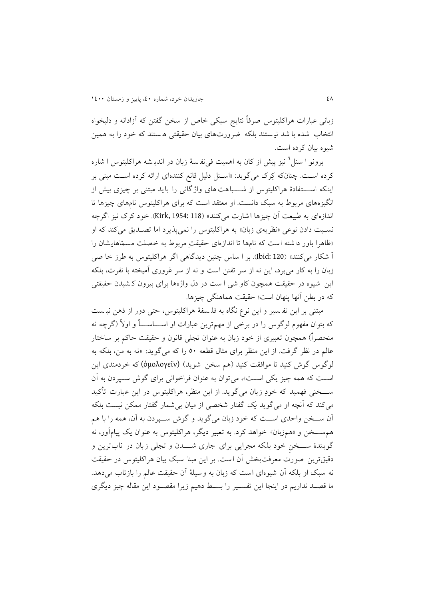زبانی عبارات هراکلیتوس صرفاً نتایج سبکی خاص از سخن گفتن که آزادانه و دلبخواه انتخاب شده با شد نیستند بلکه ضرورتهای بیان حقیقتی هستند که خود را به همین شیوه بیان کرده است.

برونو ا سنل<sup>7</sup> نیز پیش از کان به اهمیت فیiف سهٔ زبان در اندی<sub>شه</sub> هراکلیتوس ا شاره کرده است . چنانکه کِرک میگويد: »استنع دلیع قانع کنندهای ارائه کرده است مبنی بر اينکه استتفادهٔ هراکلیتوس از شـــباهت های واژگانی را بايد مبتنی بر چیزی بیش از انگیزههای مربوط به سبک دانست. او معتقد است که برای هراکلیتوس نامهای چیزها تا اندازهای به طبیعت آن چیزها ا شارت می کنند» (118 :Kirk, 1954). خود کرک نیز اگرچه نسبت دادن نوعی «نظريهی زبان» به هراکليتوس را نمی پذيرد اما تصـديق می کند که او «ظاهرا باور داشته است که نامها تا اندازهای حقیقتِ مربوط به خصلت مسمّاهایشان را آ شکار می کنند« )120 :Ibid). بر ا ساس چنین ديدگاهی اگر هراکلیتوس به رز خا صی زبان را به کار میبرد، اين نه از سر تفنن است و نه از سر غروری آمیخته با نفرت، بلکه این شیوه در حقیقت همچون کاو شی ا ست در دل واژهها برای بیرون ک شیدن حقیقتی که در بطن آنها پنهان است؛ حقیقت هماهنگی چیزها.

مبتنی بر اين تفـسير و اين نوع نگاه به فلـسفهٔ هراکليتوس، حتی دور از ذهن نيـست که بتوان مفهوم لوگوس را در برخی از مهمترين عبارات او اســــاســــاٌ و اولاً (گرچه نه منحصراً) همچون تعبیری از خود زبان به عنوان تجلی قانون و حقیقت حاکم بر ساختار عالم در نظر گرف . از اين منظر برای مثال قطعه 54 را که می گويد: »نه به من، بلکه به لوگوس گوش کنید تا موافقت کنید (هم سخن شوید) (ὁμολογεῖν) که خردمندی این است که همه چیز یکی است»، می توان به عنوان فراخوانی برای گوش سپردن به آن ستتتخنی فممید که خودِ زبان می گويد. از اين منظر، هراکلیتوس در اين عبارت تأ کی د میکند که آنچه او میگوید يک گفتار شخصی از ميان بی شمار گفتار ممکن نيست بلکه آن ستتخن واحدی استت که خود زبان می گويد و گوش ستتپردن به آن، همه را با هم هم ســخن و «همزبان» خواهد کرد. به تعبیر دیگر، هراکلیتوس به عنوان یک پیامآور، نه گويندهٔ ســخن خود بلکه مجرايی برای جاری شـــدن و تجلی زبان در ناب ترين و دقیقترین صورت معرفتبخش آن است. بر این مبنا سبک بیان هراکلیتوس در حقیقت نه سبک او بلکه آن شیوهای است که زبان به وسیلهٔ آن حقیقت عالم را بازتاب میدهد. ما قصتد نداريم در اينجا اين تفستیر را بستط دهیم زيرا مقصتود اين مقاله چیز ديگری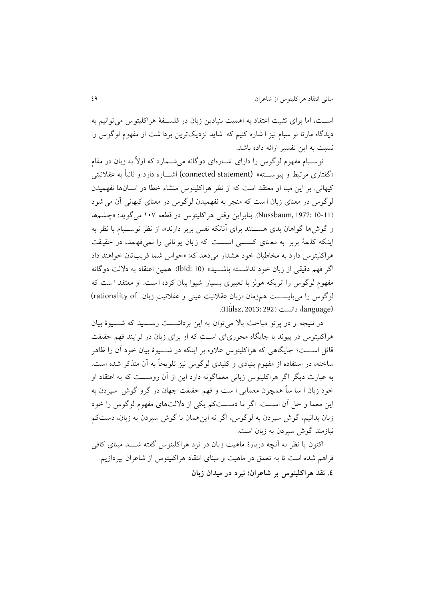اسـت، اما برای تثبیت اعتقاد به اهمیت بنیادین زبان در فلســفهٔ هراکلیتوس می توانیم به ديدگاه مارتا نو سبام نيز ا شاره کنيم که شايد نزديکترين بردا شت از مفهوم لوگوس را نسب به اين تفسیر ارائه داده باشد.

نوسـبام مفهوم لوگوس را دارای اشــارهای دوگانه میشــمارد که اولاً به زبان در مقام »گفتاری مرتبط و پیوستتته« (statement connected (اشتتاره دارد و ثانیا به عقالنیتی کیهانی. بر این مبنا او معتقد است که از نظر هراکلیتوس منشاء خطا در انسانها نفهمیدن لوگوس در معنای زبان است که منجر به نفهمیدن لوگوس در معنای کیهانی آن می شود )10-11 1972: ,Nussbaum). بنابراين وقتی هراکلیتوس در قطعه 041 میگويد: »چنم ها و گوشها گواهان بدی هســـتند برای آنانکه نفس بربر دارند»، از نظر نوســـبام با نظر به اینکه کلمهٔ بربر به معنای کستی استت که زبان یو نانی را نمی فهمد، در حقیقت هراکلیتوس دارد به مخا بان خود هندار می دهد که: »حواس شما فريبتان خواهند داد اگر فهم دقیقی از زبان خود نداشتته باشــید» (10 :bid). همین اعتقاد به دلالت دوگانه مفهوم لوگوس را انريکه هولز با تعبیری بسیار شیوا بیان کرده ا ست. او معتقد ا ست که لوگوس را می بايست همزمان «زبان عقلانيت عينی و عقلانيت زبان fationality of) .(Hülsz, 2013: 292) دانست (Hülsz, 2013: 292)

در نتیجه و در پرتو مباحث بالا می توان به این برداشتت رستید که شتیوهٔ بیان هراکلیتوس در پیوند با جايگاه محوریای است که او برای زبان در فرايند فمم حقیق قائل اســـت؛ جايگاهی که هراکليتوس علاوه بر اينکه در شــــيوهٔ بيان خود آن را ظاهر ساخته، در استفاده از مفهوم بنیادی و کلیدی لوگوس نیز تلویحاً به آن متذکر شده است. به عبارت ديگر اگر هراکلیتوس زبانی معماگونه دارد اين از آن روستتت که به اعتقاد او خود زبان ا سا ساً همچون معمايی ا ست و فهم حقيقت جهان در گرو گوش ٍ سپردن به اين معما و حع آن استت . اگر ما دستت کم يکی از دالل های مفمول لوگوس را خود زبان بدانیم، گوش سپردن به لوگوس، اگر نه اين همان با گوش سپردن به زبان، دس کم نبازمند گوش سپردن به زبان است.

اکنون با نظر به آنچه دربارهٔ ماهیت زبان در نزد هراکلیتوس گفته شـــد مبنای کافی فراهم شده است تا به تعمق در ماهیت و مبنای انتقاد هراکلیتوس از شاعران بپردازیم. **.0 نقد هراکلیتوس بر شاعران؛ نبرد در میدان زبان**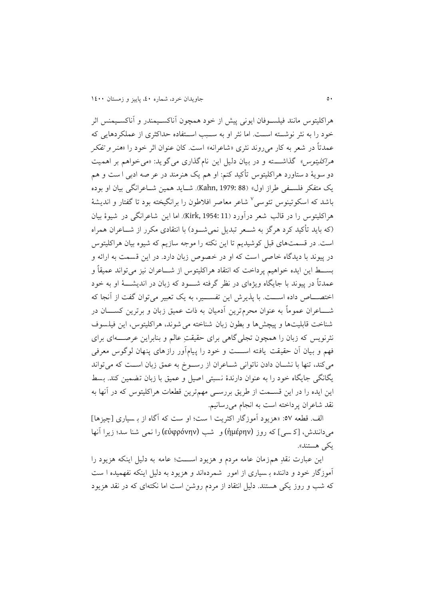هراکلیتوس مانند فیلستوفان ايونی پیش از خود همنون آناکستیمندر و آناکستیمنس اثر خود را به نثر نوشتتته استت . اما نثر او به ستتبب استتتفاده حداکثری از عملکردهاي ی که عمدتاً در شعر به کار می روند نثری «شاعرانه» است. کان عنوان اثر خود را «*هنر و تفکر* هر*اکلیتوس»* گذاشــــته و در بیان دلیل این نام گذاری میگوید: «میخواهم بر اهمیت دو سويهٔ د ستاورد هراکليتوس تأکيد کنم: او هم يک هنرمند در عر صه ادبی ا ست و هم يک متفکر فلستفی راز اول« )88 1979: ,Kahn). شتايد همین شتاعرانگی بیان او بوده باشد که اسکوتینوس تئوسی<sup>۷</sup> شاعر معاصر افلاطون را برانگیخته بود تا گفتار و اندیشهٔ هراکلیتوس را در قالب شعر درآورد )11 1954: ,Kirk). اما اين شاعرانگی در شیو ة بیان (که بايد تأکيد کرد هرگز به شــعر تبديل نمی شــود) با انتقادی مکرر از شـــاعران همراه است. در قسمتهای قبل کوشیدیم تا این نکته را موجه سازیم که شیوه بیان هراکلیتوس در پیوند با ديدگاه خاصی است که او در خصوص زبان دارد. در اين قسمت به ارائه و بســـط اين ايده خواهيم پرداخت که انتقاد هراکليتوس از شــــاعران نيز مي تواند عميقاً و عمدتا در پیوند با جايگاه ويژه ای در نظر گرفته شتتتود که زبان در اندينتتت ة او به خود اختصــــاص داده اســــت. با پذيرش اين تفســــير، به يک تعبير می توان گفت از آنجا که شــــاعران عموماً به عنوان محرمترين آدميان به ذات عمیق زبان و برترين کســـــان در شناخت قابلیتها و پیچشها و بطون زبان شناخته می شوند، هراکلیتوس، این فیلسوف نثرنويس که زبان را همچون تجلی گاهی برای حقیقتِ عالم و بنابراين عرصـــــهای برای فهم و بیان آن حقیقت یافته اســـت و خود را پیامآور رازهای پنهان لوگوس معرفی میکند، تنما با ننتتان دادن ناتوانی شتتاعران از رستتوم به عمق زبان استت که می تواند يگانگی جايگاه خود را به عنوان دارندهٔ نسبتی اصیل و عمیق با زبان تضمین کند. بسط اين ايده را در اين قســمت از طريق بررســي مهمترين قطعات هراکليتوس که در آنها به نقد شاعران پرداخته است به انجام می رسانیم.

الف. قطعه ٥٧: «هزيود آموزگار اکثريت ا ست؛ او ست که آگاه از بـ سياری [چيزها] می دانندش، [کسی] که روز (ἡμέρην) و شب (εὐφρόνην) را نمی شنا سد؛ زيرا آنها يکی هستند«.

اين عبارت نقدِ همزمان عامه مردم و هزيود اســـت؛ عامه به دليل اينکه هزيود را آموزگار خود و داننده بـ سیاری از امور ً شمردهاند و هزیود به دلیل اینکه نفهمیده ا ست که شب و روز يکی هستند. دليل انتقاد از مردم روشن است اما نکتهای که در نقد هزيود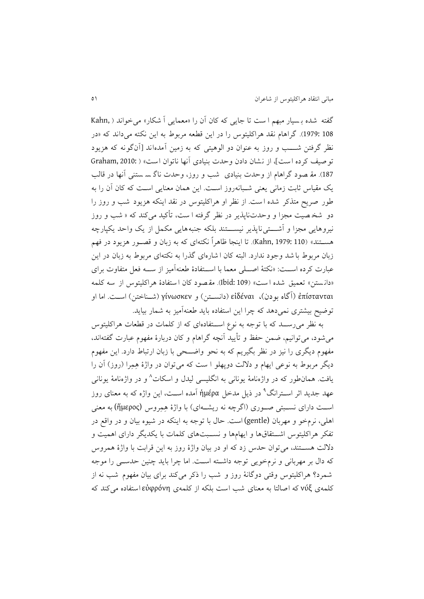گفته شده بسیار مبهم است تا جایی که کان آن را «معمایی آ شکار» می خواند ( Kahn 108 1979:(. گراهال نقد هراکلیتوس را در اين قطعه مربوط به اين نکته می داند که »در نظر گرفتن شـــب و روز به عنوان دو الوهیتی که به زمین آمدهاند [آنگونه که هزیود توصیف کرده است]، از نشان دادن وحدت بنیادی آنها ناتوان است» ( :Graham, 2010 187). مقـ صود گراهام از وحدت بنیادی شب و روز، وحدت ناگ سـ ستنی آنها در قالب يک مقياس ثابت زمانی يعنی شـبانهروز اسـت. اين همان معنايی اسـت که کان آن را به طور صريح متذکر شده است. از نظر او هراکليتوس در نقد اينکه هزيود شب و روز را دو شخصیت مجزا و وحدتناپذیر در نظر گرفته ا ست، تأکید میکند که « شب و روز نیروهايی مجزا و آشتتی ناپذير نیستتند بلکه جنبههايی مکمل از يک واحد يکپارچه هســتند» (110 :Kahn,) . تا اينجا ظاهراً نکتهای که به زبان و قصــور هزيود در فهم زبان مربوط با شد وجود ندارد. البته کان ا شاره ای گذرا به نکتهای مربوط به زبان در اين عبارت کرده اســت: «نکتهٔ اصـــلی معما با اســـتفادهٔ طعنهآمیز از ســـه فعل متفاوت برای «دانستن» تعمیق شده است» (Ibid: 109). مقصود کان استفادهٔ هراکلیتوس از سه کلمه ἐπίστανται( آگاه بودن(**،** εἰδέναι( دانستتن( و γίνωσκεν( شتناختن( است . اما او توضيح بيشتری نمیدهد که چرا اين استفاده بايد طعنهآميز به شمار بيايد.

به نظر میرستتد که با توجه به نوع استتتفاده ای که از کلمات در قطعات هراکلیتوس میشود، می توانیم، ضمن حفظ و تأیید آنچه گراهام و کان دربارهٔ مفهوم عبارت گفتهاند، مفهوم ديگری را نيز در نظر بگيريم که به نحو واضـــحی با زبان ارتباط دارد. اين مفهوم ديگر مربوط به نوعی ايهام و دلالت دوپهلو ا ست که میتوان در واژهٔ هِمِرا (روز) آن را بافت. همان $d$ ور که در واژهنامهٔ یونانی به انگلیسی لیدل و اسکات^و در واژهنامهٔ یونانی عهد جدید اثر اســترانگ° در ذیل مدخل ἡμέρα آمده اســت، این واژه که به معنای روز استت دارای نستتبتی صتتوری )اگرچه نه رينتته ای( با واژة هِمِروس (ἥμερος (به معنی اهلی، نرمخو و مهربان (gentle) است. حال با توجه به اینکه در شیوه بیان و در واقع در تفکر هراکلیتوس اشتتقاقها و ايهامها و نسـبتهای کلمات با يکديگر دارای اهميت و دلالت هستتند، می توان حدس زد که او در بیان واژهٔ روز به این قرابت با واژهٔ همروس که دال بر مهربانی و نرمخويی توجه داشته است. اما چرا بايد چنين حدســي را موجه شمرد؟ هراکلیتوس وقتی دوگانهٔ روز و شب را ذکر می کند برای بیان مفهوم شب نه از کلمهی νύξ که اصالتا به معنای شب اس بلکه از کلمه ی εὐφρόνη استفاده می کند که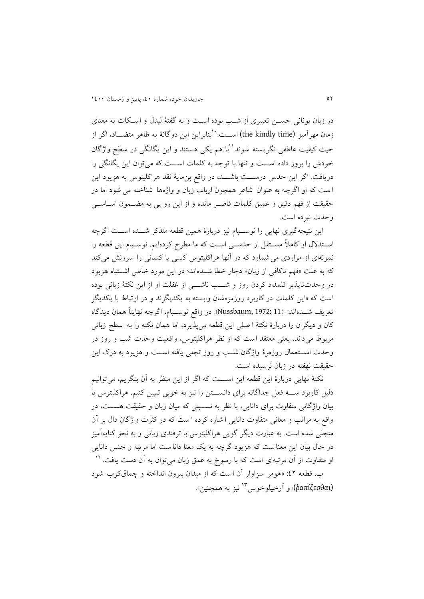در زبان يونانی حستن تعبیری از شتب بوده است و به گفتة لیدل و استکات به معنای زمان مهرآمیز (the kindly time) اســت. 'بنابراین این دوگانهٔ به ظاهر متضــاد، اگر از حیث کیفیت عاطفی نگریسته شوند''با هم یکی هستند و این یگانگی در سطح واژگان خودش را بروز داده استت و تنما با توجه به کلمات استت که میتوان اين يگانگی را دريافت. اگر اين حدس درســـت باشـــد، در واقع بن&ايهٔ نقد هراکليتوس به هزيود اين ا ست که او اگرچه به عنوان شاعر همچون ارباب زبان و واژهها شناخته می شود اما در حقیقت از فهم دقیق و عمیق کلمات قاصـر مانده و از این رو پی به مضــمون اســاســی و حدت نبر ده است.

اين نتيجهگيری نهايی را نوســبام نيز دربارة همين قطعه متذکر شـــده اســت اگرچه اسـتدلال او کاملاً مسـتقل از حدسـی اسـت که ما مطرح کردهايم. نوسـبام اين قطعه را نمونهای از مواردی می شمارد که در آنها هراکلیتوس کسی یا کسانی را سرزنش می کند که به علت «فهم ناکافی از زبان» دچار خطا شــدهاند؛ در اين مورد خاص اشــتباه هزيود در وحدتناپذير قلمداد کردن روز و شـــب ناشـــی از غفلت او از اين نکتهٔ زبانی بوده است که «اين کلمات در کاربرد روزمرهشان وابسته به يکديگرند و در ارتباط با يکديگر تعريف شــدهاند» (Nussbaum, 1972: 11). در واقع نوســبام، اگرچه نهايتاً همان ديدگاه کان و ديگران را دربارة نکتة ا صلی اين قطعه میپذيرد، اما همان نکته را به سطی زبانی مربوط میداند. يعنی معتقد است که از نظر هراکلیتوس، واقعیت وحدت شب و روز در وحدت استتتعمال روزمرة واژگان شتتب و روز تجلی يافته استت و هزيود به درک اين حقیقت نهفته در زبان نرسیده است.

نکتهٔ نهايی دربارهٔ اين قطعه اين اســـت که اگر از اين منظر به آن بنگريم، می توانيم دلیل کاربرد ســــه فعل جداگانه برای دانســـتن را نیز به خوبی تبیین کنیم. هراکلیتوس با بیان واژگانی متفاوت برای دانايی، با نظر به نستتبتی که میان زبان و حقیق هستت ، در واقع به مراتب و معانی متفاوت دانايی ا شاره کرده ا ست که در کثرت واژگان دال بر آن متجلی شده است. به عبارت ديگر گويی هراکليتوس با ترفندی زبانی و به نحو کنايهآميز در حال بيان اين معنا ست که هزيود گرچه به يک معنا دانا ست اما مرتبه و جنس دانايی او متفاوت از آن مرتبهای است که با رسوخ به عمق زبان می $\mathrm{e}_j$ ان دست یافت.  $^\mathrm{V}$ ب. قطعه ٤٢: «هومر سزاوار آن است که از میدان بیرون انداخته و چماق کوب شود (ῥαπίζεσθαι)؛ و أرخيلوخوس<sup>1</sup>۲ نيز به همچنين».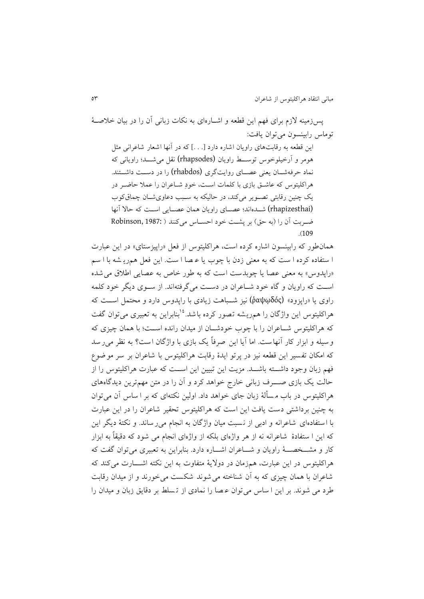پسزمینه الزل برای فمم اين قطعه و اشتارهای به نکات زبانی آن را در بیان خالصتة توماس رابينسون میتوان يافت:

اين قطعه به رقابتهای راويان اشاره دارد [. . .] که در آنها اشعار شاعرانی مثل هومر و آرخیلوخوس توســط راويان (rhapsodes) نقل می شـــد؛ راويانی که نماد حرفهشــان يعنی عصــای روايتگری (rhabdos) را در دســت داشــتند. هراکلیتوس که عاشتق بازی با کلمات است، خودِ شـاعران را عملا حاضـر در يک چنين رقابتي تصوير ميکند، در حاليکه به سـبب دعاوی شـان چماق کوب (rhapizesthai) شدهاند؛ عصای راويان همان عصـايی اسـت که حالا آنها ضربت آن را (به حق) بر پشت خود احسـاس میکنند ( Robinson, 1987:  $(109$ 

همان طور که رابینسون اشاره کرده است، هراکلیتوس از فعل «راییزستای» در این عبارت ا ستفاده کرده ا ست که به معنی زدن با چوب يا عـصا ا ست. اين فعل همريـشه با ا سم «راپدوس» به معنی عصا يا چوبدست است که به طور خاص به عصايی اطلاق می شده است که راويان و گاه خود شتاعران در دست میگرفتهاند. از ستوی ديگر خود کلمه راوی يا »راپزود« (ῥαψῳδός (نیز شتتباه زيادی با راپدوس دارد و محتمع استت که هراکلیتوس این واژگان را همریشه تصور کرده باشد.<sup>۱۶</sup>بنابراین به تعبیری می توان گفت که هراکلیتوس شـاعران را با چوب خودشـان از میدان رانده اســت؛ با همان چیزی که و سیله و ابزار کار آنهاست. اما آيا اين صرفاً يک بازی با واژگان است؟ به نظر می ر سد که امکان تفسیر این قطعه نیز در پرتو ایدهٔ رقابت هراکلیتوس با شاعران بر سر موضوع فهم زبان وجود داشتته باشت. مزيت اين تبيين اين است که عبارت هراکليتوس را از حالت يک بازی صـــــرف زبانی خارج خواهد کرد و آن را در متن مهمترين ديدگاههای هراکلیتوس در باب مسألهٔ زبان جای خواهد داد. اولین نکتهای که بر ا ساس آن می توان به چنین برداشتی دست یافت این است که هراکلیتوس تحقیر شاعران را در این عبارت با ا ستفادهای شاعرانه و ادبی از نسبت میان واژگان به انجام می ر ساند. و نکتهٔ دیگر این که اين ا ستفادهٔ شاعرانه نه از هر واژهای بلکه از واژهای انجام می شود که دقیقاً به ابزار کار و مشتخصت راويان و شتاعران اشتاره دارد. بنابراين به تعبیری می توان گفت که هراکلیتوس در اين عبارت، همزمان در دولايهٔ متفاوت به اين نکته اشـــارت می کند که شاعران با همان چیزی که به آن شناخته می شوند شکست می خورند و از میدان رقابت طرد می شوند. بر اين ا ساس می توان عـصا را نمادی از تـسلط بر دقايق زبان و ميدان را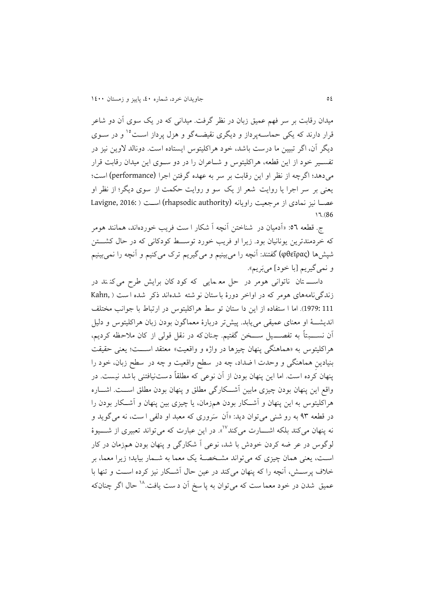میدان رقابت بر سر فهم عمیق زبان در نظر گرفت. میدانی که در یک سوی آن دو شاعر قرار دارند که يکی حماســهپرداز و ديگری نقيضــهگو و هزل پرداز اســت°<sup>۱</sup> و در ســوی ديگر آن، اگر تبيين ما درست باشد، خود هراكليتوس ايستاده است. دونالد لاوين نيز در تفستیر خود از این قطعه، هراکلیتوس و شـاعران را در دو سـوی این میدان رقابت قرار می دهد؛ اگرچه از نظر او اين رقابت بر سر به عهده گرفتن اجرا (performance) است؛ يعنی بر سر اجرا يا روايت شعر از يک سو و روايت حکمت از سوی ديگر؛ از نظر او عصبا نیز نمادی از مرجعیت راویانه (rhapsodic authority) است ( Lavigne, 2016: 01.)86

ج. قطعه ٥٦: «آدمیان در شناختن آنچه آ شکار ا ست فريب خوردهاند، همانند هومر که خردمندترين يونانیان بود. زيرا او فريب خورد توستتط کودکانی که در حال کنتتتن شپشها (φθεῖρας) گفتند: آنچه را میبینیم و میگیریم ترک میکنیم و آنچه را نمیبینیم و نمي گيريم [با خود] مي <sub>ب</sub>َريم».

داست تان ناتوانی هومر در حل مع مايی که کود کان برايش طرح می کن ند در زندگی نامههای هومر که در اواخر دورهٔ با ستان نو شته شدهاند ذکر شده است ( Kahn 111 1979:(. اما ا ستفاده از اين دا ستان تو سط هراکلیتوس در ارتباط با جوانب مختل انديشـــهٔ او معنای عمیقی می یابد. پیشتر دربارهٔ معماگون بودن زبان هراکلیتوس و دلیل آن نســـــبتاً به تفصـــــيل ســــخن گفتيم. چنان که در نقل قولی از کان ملاحظه کرديم، هراکلیتوس به «هماهنگی پنهان چیزها در واژه و واقعیت» معتقد اســـت؛ یعنی حقیقت بنیادین هماهنگی و وحدت ا ضداد، چه در سطح واقعیت و چه در سطح زبان، خود را پنهان کرده است. اما این پنهان بودن از آن نوعی که مطلقاً دستنیافتنی باشد نیست. در واقع اين پنهان بودن چيزی مابين آشــکارگی مطلق و پنهان بودن مطلق اســت. اشــاره هراکلیتوس به اين پنمان و آشتتکار بودن همزمان، يا چیزی بین پنمان و آشتتکار بودن را در قطعه ۹۳ به رو شنی می توان ديد: «آن سَروری که معبد او دلفی ا ست، نه می گويد و نه پنهان می کند بلکه اشــــارت می کند<sup>۱۷</sup>». در این عبارت که می تواند تعبیری از شــــیوهٔ لوگوس در عر ضه کردن خودش با شد، نوعی آ شکارگی و پنهان بودن همزمان در کار اسـت، يعنی همان چیزی که میتواند مشـخصــهٔ يک معما به شــمار بیاید؛ زیرا معما، بر خلاف پرستش، آنچه را که پنهان میکند در عین حال آشتکار نیز کرده است و تنها با عمیق شدن در خود معما ست که می توان به یا سخ آن د ست یافت. <sup>۱۸</sup> حال اگر چنانکه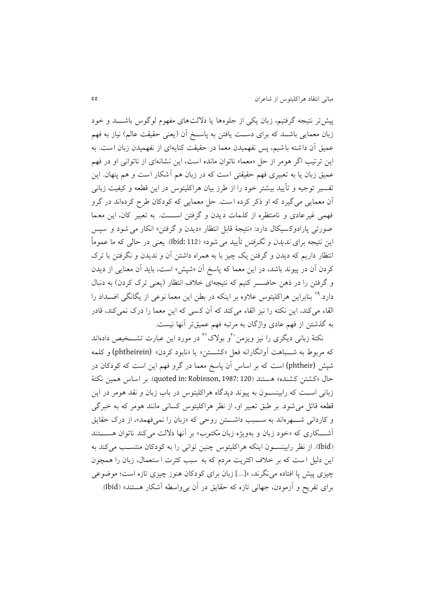پیش تر نتیجه گرفتیم، زبان یکی از جلوهها یا دلالتهای مفهوم لوگوس باشــــد و خود زبان معمايی باشــد که برای دســت يافتن به پاســخ آن (يعنی حقیقت عالم) نیاز به فهم عمیق آن داشته باشیم، پس نفهمیدن معما در حقیقت کنایهای از نفهمیدن زبان است. به اين ترتيب اگر هومر از حل «معما» ناتوان مانده است، اين نشانهای از ناتوانی او در فهم عمیق زبان يا به تعبیری فهم حقیقتی است که در زبان هم آشکار است و هم پنهان. این تفسیر توجیه و تأیید بیشتر خود را از طرز بیان هراکلیتوس در این قطعه و کیفیت زبانی آن معمايی می گيرد که او ذکر کرده است. حل معمايی که کودکان طرح کردهاند در گرو فممی غیرعادی و نامنتظره از کلمات ديدن و گرفتن استتت . به تعبیر کان، اين معما صورتی پارادوکسیکال دارد: «نتیجهٔ قابل انتظار «دیدن و گرفتن» انکار می شود و سپس اين نتيجه برای *نديدن* و *نگرفتن* تأييد می<sup>شود</sup>» (112 :Ibid). يعنی در حالی که ما عموماً انتظار داريم که ديدن و گرفتن يک چیز با به همراه داشتن آن و نديدن و نگرفتن با ترک کردن آن در پیوند باشد، در اين معما که پاسخ آن »شپش« اس ، بايد آن معنايی از ديدن و گرفتن را در ذهن حاضــــر کنیم که نتیجهای خلاف انتظار (يعنی ترک کردن) به دنبال دارد.<sup>۱۹</sup> بنابراين هراکليتوس علاوه بر اينکه در بطن اين معما نوعی از يگانگی اضــداد را القاء میکند، اين نکته را نيز القاء میکند که آن کسی که اين معما را درک نمیکند، قادر به گذشتن از فهم عادی واژگان به مرتبه فهم عمیقتر آنها نیست.

نکتهٔ زبانی دیگری را نیز ویزمن <sup>۲۰</sup>و بولاک<sup>۲۱</sup> در مورد این عبارت تشـــخیص دادهاند که مربوط به شـــباهت آوانگارانه فعل «کشـــتن» یا «نابود کردن» (phtheirein) و کلمه شپش (phtheir) است که بر اساس آن پاسخ معما در گرو فهم اين است که کودکان در حال »کنتن کننده « هستند )120 1987: ,Robinson :in quoted). بر اساس همین نکت ة زبانی استت که رابینستتون به پیوند ديدگاه هراکلیتوس در باب زبان و نقد هومر در اين قطعه قائل می شود. بر طبق تعبیر او، از نظر هراکلیتوس کسانی مانند هومر که به خبرگی و کاردانی شتمرهاند به ستبب داشتتن روحی که «زبان را نمیفهمد»، از درک حقايق آشـــکاری که «خود زبان و بهويژه زبان *مکتوب»* بر آنها دلالت می کند ناتوان هســـتند )Ibid). از نظر رابینستتون اينکه هراکلیتوس چنین توانی را به کودکان منتستتب میکند به اين دليل ا ست که بر خلاف اکثريت مردم که به سبب کثرت ا ستعمال، زبان را همچون چیزی پیش پا افتاده می نگرند، «[…] زبان برای کودکان هنوز چیزی تازه است؛ موضوعی برای تفريح و آزمودن، جهانی تازه که حقايق در آن بی واسطه آشکار هستند» (Ibid).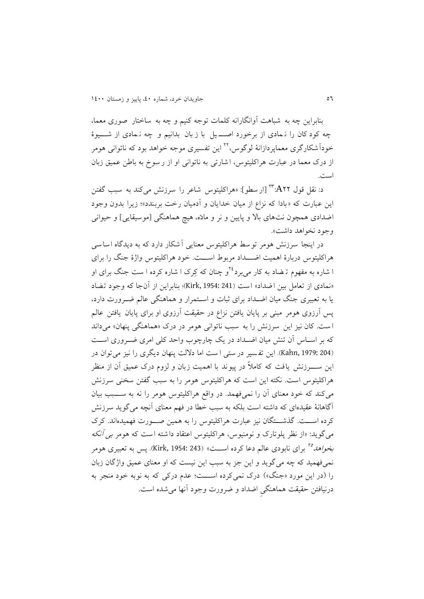بنابراين چه به شباهت آوانگارانه کلمات توجه کنیم و چه به ساختار صوری معما، چه کود کان را ن مادی از برخورد اصـــ یل با ز بان بدانیم و چه نـمادی از شــــیوهٔ خوداً شکارگری معماپردازانهٔ لوگوس،<sup>۲۲</sup> این تفسیری موجه خواهد بود که ناتوانی هومر از درک معما در عبارت هراکلیتوس، ا شارتی به ناتوانی او از ر سوخ به باطن عمیق زبان است.

د: نقل قول A۲۲" [ار سطو]: «هراکلیتوس شاعر را سرزنش می کند به سبب گفتن اين عبارت که «بادا که نزاع از ميان خدايان و آدميان رخت بربندد»؛ زيرا بدون وجود اضدادی همچون نتهای بالا و پایین و نر و مادّه، هیچ هماهنگی [موسیقایی] و حیوانی وجود نخواهد داشت».

در اينجا سرزنش هومر توسط هراکلیتوس معنايی آشکار دارد که به ديدگاه اسا سی هراکلیتوس دربارهٔ اهمیت اضــــداد مربوط اســــت. خود هراکلیتوس واژهٔ جنگ را برای ا شاره به مفهوم ترضاد به کار می برد<sup>۲٤</sup>و چنان که کِرک ا شاره کرده ا ست جنگ برای او «نمادی از تعامل بین اضداد» است (Kirk, 1954: 241)؛ بنابراین از آنجا که وجود تضاد يا به تعبيری جنگ ميان اضـداد برای ثبات و اسـتمرار و هماهنگی عالم ضـرورت دارد، پس آرزوی هومر مبنی بر پايان يافتن نزاع در حقيقت آرزوی او برای پايان يافتن عالم ا ست. کان نیز این سرزنش را به سبب ناتوانی هومر در درک «هماهنگی پنهان» میداند که بر اسـاس آن تنش میان اضـداد در يک چارچوب واحد کلی امری ضــروری اســت (Kahn, 1979: 204). اين تفسير در ستی ا ست اما دلالت پنهان ديگری را نيز می توان در اين ســــــرزنش يافت که کاملاً در پیوند با اهمیت زبان و لزوم درک عمیق آن از منظر هراکلیتوس است. نکته این است که هراکلیتوس هومر را به سبب گفتن سخنی سرزنش میکند که خود معنای آن را نمیفممد . در واقع هراکلیتوس هومر را نه به ستتتبب بیان آگاهانهٔ عقیدهای که داشته است بلکه به سبب خطا در فهم معنای آنچه میگوید سرزنش کرده استت . گذشتتتگان نیز عبارت هراکلیتوس را به همین صتتورت فممیدهاند. کرک میگوید: «از نظر پلوتارک و نومنیوس، هراکلیتوس اعتقاد داشته است که هومر *بی آنکه* ب*خواهد<sup>م</sup>"* برای نابودی عالم دعا کرده اســـت» (Kirk, 1954: 243). پس به تعبیری هومر نمیفهمید که چه می گوید و این جز به سبب این نیست که او معنای عمیق واژگان زبان را (در اين مورد «جنگ») درک نمي کرده اســـت؛ عدم درکي که به نوبه خود منجر به درنیافتن حقیقت هماهنگی اضداد و ضرورت وجود آنها می شده است.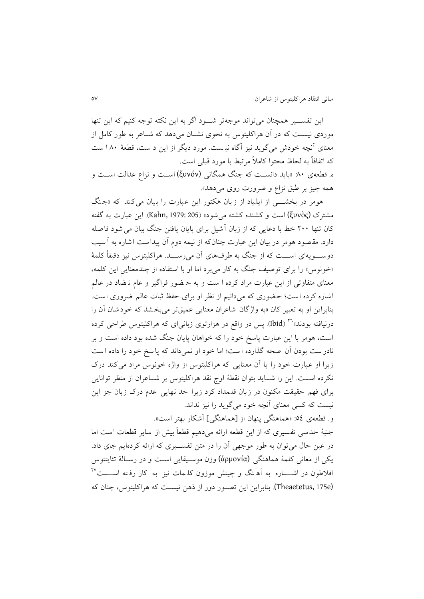اين تفستتیر همننان میتواند موجهتر شتتود اگر به اين نکته توجه کنیم که اين تنما موردی نیست که در آن هراکلیتوس به نحوی نشـان می دهد که شـاعر به طور کامل از معنای آنچه خودش میگوید نیز آگاه نیست. مورد دیگر از این د ست، قطعهٔ ۱۸۰ ست که اتفاقاً به لحاظ محتوا کاملاً مرتبط با مورد قبلی است.

ه. قطعهی ۸۰: «بايد دانســت که جنگ همگانی (ξυνόν) اســت و نزاع عدالت اســت و همه چیز بر طبق نزاع و ضرورت روی میدهد».

هومر در بخشـــی از ايلياد از زبان هکتور اين عبارت را بيان می کند که «جنگ مشترک (ξυνὸς) است و کشنده کشته می شود» (205 :Kahn, 1979). اين عبارت به گفته کان تنها ۲۰۰ خط با دعايی که از زبان آشيل برای پايان يافتن جنگ بيان می شود فاصله دارد. مقصود هومر در بیان این عبارت چنانکه از نیمه دوم آن پیداست اشاره به آسیب دوســــویهای اســــت که از جنگ به طرفــهای آن می رســــد. هراکلیتوس نیز دقیقاً کلمهٔ «خونوس» را برای توصیف جنگ به کار می برد اما او با استفاده از چندمعنایی این کلمه، معنای متفاوتی از اين عبارت مراد كرده ا ست و به حـضور فراگير و عام تـ ضاد در عالم اشاره کرده است؛ حضوری که میدانیم از نظر او برای حفظ ثبات عالم ضروری است. بنابراين او به تعبیر کان »به واژگان شاعران معنايی عمیق تر میبخ ند که خود شان آن را درنیافته بودند»<sup>۲۲</sup> (Ibid). پس در واقع در هزارتوی زبانیای که هراکلیتوس طراحی کرده است، هومر با اين عبارت پاسخ خود را که خواهان پايان جنگ شده بود داده است و بر نادر ست بودن آن صحه گذارده است؛ اما خود او نمیداند که پا سخ خود را داده است زيرا او عبارت خود را با آن معنايی که هراکلیتوس از واژه خونوس مراد می کند درک نکرده استت . اين را شتتايد بتوان نقطة اوج نقد هراکلیتوس بر شتتاعران از منظر توانايی برای فهم حقیقت مکنون در زبان قلمداد کرد زیرا حد نهایی عدم درک زبان جز این نیست که کسی معنای آنچه خود میگوید را نیز نداند.

و. قطعهی ٥٤: «هماهنگی پنهان از [هماهنگی] آشکار بهتر است». جنبهٔ حدسی تفسیری که از این قطعه ارائه می دهیم قطعاً بیش از سایر قطعات است اما در عین حال میتوان به طور موجهی آن را در متن تفســیری که ارائه کردهایم جای داد. يکی از معانی کلمة هماهنگی (ἁρμονία (وزن موستیقايی است و در رستالة تئايتتوس فلاطون در اشـــــاره به آهـنگ و چینش موزون کلـمات نیز به کار رفـته اســـــت<sup>۲۷</sup> (e175 ,Theaetetus(. بنابراين اين تصتور دور از ذهن نیست که هراکلیتوس، چنان که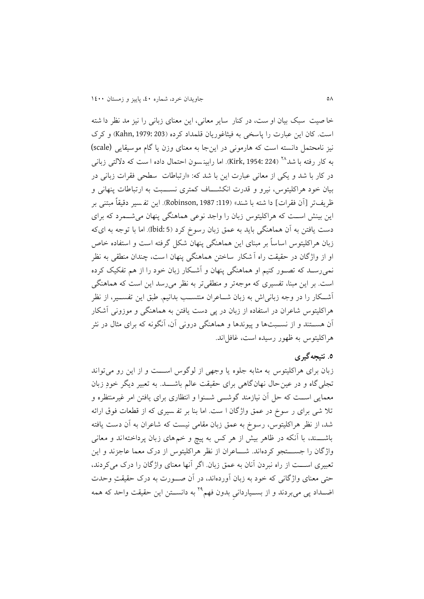خا صیت سبک بیان او ست، در کنار سایر معانی، این معنای زبانی را نیز مد نظر دا شته است. کان اين عبارت را پاسخی به فيثاغوريان قلمداد کرده (203 :Kahn, 1979) و کرک نیز نامحتمل دانسته است که هارمونی در اين جا به معنای وزن يا گام موسیقايی (scale) به کار رفته با شد<sup>۲۸</sup> (Kirk, 1954: 224). اما رابین سون احتمال داده ا ست که دلالتی زبانی در کار با شد و يکي از معانی عبارت اين با شد که: «ارتباطات سطحی فقرات زبانی در بیان خود هراکلیتوس، نیرو و قدرت انکشــاف کمتری نســـبت به ارتباطات پنهانی و ظريفتر [آن فقرات] دا شته با شند» (119: Robinson, 1987). اين تفسير دقيقاً مبتني بر اين بینش استت که هراکلیتوس زبان را واجد نوعی هماهنگی پنمان میشتتمرد که برای دست يافتن به آن هماهنگی بايد به عمق زبان رسوخ کرد (Ibid: 5). اما با توجه به ایکه زبان هراکلیتوس اساساً بر مبنای این هماهنگی پنهان شکل گرفته است و استفاده خاص او از واژگان در حقیقت راه آ شکار ساختن هماهنگی پنهان است، چندان منطقی به نظر نمیرستد که تصتور کنیم او هماهنگی پنمان و آشتکار زبان خود را از هم تفکیک کرده است. بر اين مبنا، تفسيری که موجهتر و منطقیتر به نظر می رسد اين است که هماهنگی آشتتکار را در وجه زبانیاش به زبان شتتاعران منتستتب بدانیم. بق اين تفستتیر، از نظر هراکلیتوس شاعران در استفاده از زبان در پی دست یافتن به هماهنگی و موزونی آشکار آن هستتتند و از نستتب ها و پیوندها و هماهنگی درونی آن، آنگونه که برای مثال در نثر هراکلیتوس به ظهور رسیده است، غافل اند.

# **.5 نتیجهگیری**

زبان برای هراکلیتوس به مثابه جلوه یا وجهی از لوگوس اســـت و از این رو می تواند تجلی گاه و در عین حال نهان گاهی برای حقیقت عالم باشـــد. به تعبیر دیگر خودِ زبان معمايی است که حل آن نیازمند گوشتی شــنوا و انتظاری برای یافتن امر غیرمنتظره و تلا شی برای ر سوخ در عمق واژگان ا ست. اما بنا بر تف سیری که از قطعات فوق ارائه شد، از نظر هراکلیتوس، رسوخ به عمق زبان مقامی نیست که شاعران به آن دست یافته باشتتتند، با آنکه در ظاهر بیش از هر کس به پیز و خم های زبان پرداخته اند و معانی واژگان را جستتتتجو کرده اند. شتتتاعران از نظر هراکلیتوس از درک معما عاجزند و اين تعبیری استتت از راه نبردن آنان به عمق زبان. اگر آنما معنای واژگان را درک میکردند، حتی معنای واژگانی که خود به زبان آوردهاند، در آن صــورت به درک حقیقتِ وحدت اضــداد پی میبردند و از بســیاردانی بدون فهم<sup>۲۹</sup> به دانســتن این حقیقت واحد که همه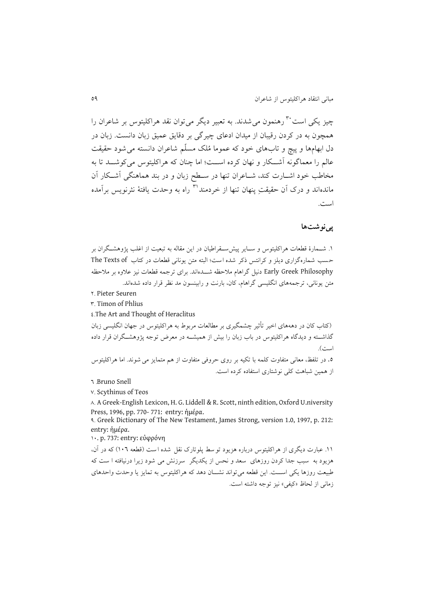چیز یکی است<sup>۳۰</sup> رهنمون می شدند. به تعبیر دیگر می توان نقد هراکلیتوس بر شاعران را همچون به در کردن رقیبان از میدان ادعای چیرگی بر دقایق عمیق زبان دانست. زبان در دل ابهامها و پیچ و تابهای خود که عموما مُلک مسلّم شاعران دانسته می شود حقیقت عالم را معماگونه آشتکار و نهان کرده است؛ اما چنان که هراکلیتوس می کوشت تا به مخاطب خود اشـارت کند، شــاعران تنها در ســطح زبان و در بند هماهنگی آشــکار آن ماندهاند و درک آن حقیقت پنهان تنها از خردمند™ راه به وحدت یافتهٔ نثرنویس برآمده است.

#### **پینوشتها**

۱. شــمارهٔ قطعات هراکلیتوس و ســایر پیش ســقراطیان در این مقاله به تبعیت از اغلب پژوهشــگران بر حسب شماره گزاری ديلز و کرانتس ذکر شده است؛ البته متن يونانی قطعات در کتاب The Texts of Philosophy Greek Early دنیع گراهال مالحظه شتتدهاند. برای ترجمه قطعات نیز عالوه بر مالحظه متن يونانی، ترجمههای انگلیسی گراهام، کان، بارنت و رابینسون مد نظر قرار داده شدهاند.

4. Pieter Seuren

8. Timon of Phlius

 $\epsilon$ . The Art and Thought of Heraclitus

)کتاب کان در دهههای اخیر تأثیر چنمگیری بر مطالعات مربوط به هراکلیتوس در جمان انگلیسی زبان گذاشته و دیدگاه هراکلیتوس در باب زبان را بیش از همیشــه در معرض توجه پژوهشــگران قرار داده است).

0. در تلفظ، معانی متفاوت کلمه با تکیه بر روی حروفی متفاوت از هم متمایز می شوند. اما هراکلیتوس از همین شباهت کلی نوشتاری استفاده کرده است.

v. Scythinus of Teos

 $\lambda$ . A Greek-English Lexicon, H. G. Liddell & R. Scott, ninth edition, Oxford U.niversity Press, 1996, pp. 770- 771: entry: ἡμέρα.

3. Greek Dictionary of The New Testament, James Strong, version 1.0, 1997, p. 212: entry: ἡμέρα.

04. p. 737: entry: εὐφρόνη

۰۱۱. عبارت ديگری از هراکليتوس درباره هزيود تو سط پلوتارک نقل شده ا ست (قطعه ١٠٦) که در آن، هزيود به سبب جدا کردن روزه ای سعد و نحس از يکديگر سرزنش می شود زيرا درنیافته ا س که طبيعت روزها يکي اســـت. اين قطعه مي تواند نشـــان دهد که هراکليتوس به تمايز يا وحدت واحدهای زمانی از لحاظ «کیفی» نیز توجه داشته است.

<sup>1 .</sup>Bruno Snell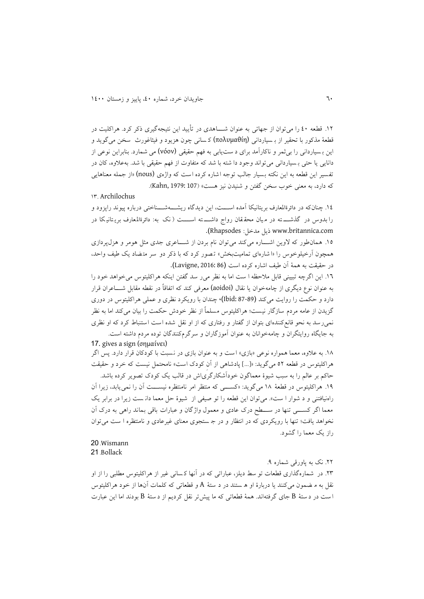۱۲. قطعه ٤٠ را می توان از جهاتی به عنوان شــــاهدی در تأييد اين نتيجهگيری ذکر کرد. هراکليت در قطعة مذکور با تحقیر از ب سیاردانی (πολυµαθίη (ک سانی چون هزيود و فیثاغورث سخن می گويد و اين بـسيارداني را بي ثمر و ناکارآمد براي د ست١يابي به فهم حقيقي (νόον) مي شمارد. بنابراين نوعي از دانايی يا حتی بـ سياردانی می تواند وجود دا شته با شد که متفاوت از فهم حقيقی با شد. به علاوه، کان در تفسیر این قطعه به این نکته بسیار جالب توجه اشاره کرده است که واژهی (nous) «از جمله معناهایی که دارد، به معنی خوب سخن گفتن و شنیدن نیز هست» (Kahn, 1979: 107).

### 08. Archilochus

.00 چنان که در دائرةاملعارف بريتانیکا آمده استتت ، اين ديدگاه رينتتته شتتتناختی درباره پیوند راپزود و را بدوس در گذشتته در میان محققان رواج داشتته استت (نک به: دائرةالمعارف بریتانیکا در .(Rhapsodes :ميل مدخل: Rhapsodes).

۱۵. همان طور که لاوين اشــاره میکند می توان نام بردن از شـــاعری جدی مثل هومر و هزل پردازی همچون آرخیلوخوس را «ا شارهای تمامیتبخش» تصور کرد که با ذکر دو سر متضاد یک طیف واحد، در حقیقت به همهٔ آن طیف اشاره کرده است (Lavigne, 2016: 86).

١٦. اين اگرچه تبيينی قابل ملاحظه ا ست اما به نظر می ر سد گفتن اينکه هراکليتوس می خواهد خود را به عنوان نوع ديگری از چامهخوان يا نقال (aoidoi) معرفی کند که اتفاقاً در نقطه مقابل شــــاعران قرار دارد و حکمت را روايت میکند (89-87 :Ibid)، چندان با رويکرد نظری و عملی هراکليتوس در دوری گزيدن از عامه مردم سازگار نيست؛ هراکليتوس مسلماً از نظر خودش حکمت را بيان میکند اما به نظر نمی رسد به نحو قانع کنندهای بتوان از گفتار و رفتاری که از او نقل شده است استنباط کرد که او نظری به جايگاه روايتگران و چامهخوانان به عنوان آموزگاران و سرگرمکنندگان توده مردم داشته است.

#### 17. gives a sign (σημαίνει)

۱۸. به علاوه، معما همواره نوعی «بازی» است و به عنوان بازی در نسبت با کودکان قرار دارد. پس اگر هراکلیتوس در قطعه ٥٢ می گوید: «[...] پادشاهی از آن کودک است» نامحتمل نیست که خرد و حقیقت

حاکم بر عالم را به سبب شیوة معماگون خودآشکارگریاش در قالب يک کودک تصوير کرده باشد. ۱۹. هراکلیتوس در قطعهٔ ۱۸ میگوید: «کســـی که منتظر امر نامنتظره نیســـت آن را نمی یابد، زیرا آن راهنیافتنی و د شوار ا ست». میتوان این قطعه را تو صیفی از شیوهٔ حل معما دان ست زیرا در برابر یک معما اگر کســــی تنها در ســـطح درک عادی و معمول واژگان و عبارات باقی بماند راهی به درک آن نخواهد يافت؛ تنها با رويکردی که در انتظار و در جـ ستجوی معنای غیرعادی و نامنتظره ا ست می توان راز يک معما را گنود.

# 20 Wismann 21 Bollack

.44 نک به پاورقی شماره .3 .48 در شماره گذاری قطعات تو سط ديلز، عباراتی که در آن ما ک سانی غیر از هراکلیتوس مطلبی را از او نقل به م ضمون میکنند يا دربارهٔ او ه ستند در د ستهٔ A و قطعاتی که کلمات آنها از خود هراکلیتوس ا ست در د ستهٔ B جای گرفتهاند. همهٔ قطعاتی که ما پیش تر نقل کردیم از د ستهٔ B بودند اما این عبارت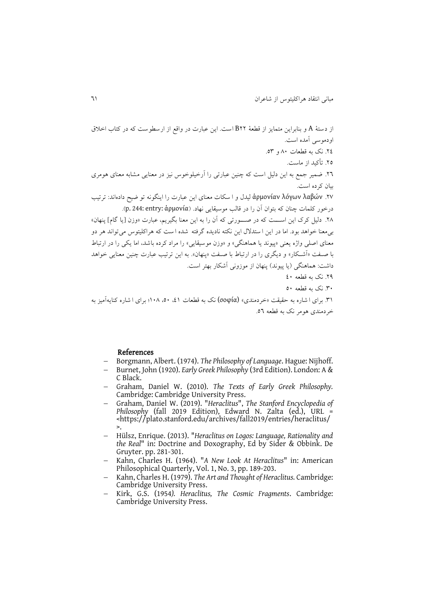از دست ة A و بنابراين متمايز از قطعة 44B اس . اين عبارت در واقع از ارسطوس که در کتاب اخال اودموسی آمده اس . .40 نک به قطعات 34 و .58 .45 تأکید از ماس . .41 میر جمع به اين دلیع اس که چنین عبارتی را آرخیلوخوس نیز در معنايی منابه معنای هومری بیان کرده اس . .41 λαβών λόγων ἁρμονίαν لیدل و ا سکات معنای اين عبارت را اينگونه تو یی داده اند: ترتیب درخور کلمات چنان که بتوان آن را در قالب موسیقايی نماد. )ἁρμονία :entry 244: .p). .43 دلیع کرک اين استتت که در صتتتورتی که آن را به اين معنا بگیريم، عبارت »وزن یيا گاله پنمان « بیمعنا خواهد بود. اما در اين ا ستدالل اين نکته ناديده گرفته شده ا س که هراکلیتوس می تواند هر دو معنای اصلی واژه يعنی »پیوند يا هماهنگی« و »وزن موسیقايی « را مراد کرده باشد، اما يکی را در ارتباط با صتف »آشتکار « و ديگری را در ارتباط با صتف »پنمان«. به اين ترتیب عبارت چنین معنايی خواهد داش : هماهنگی )يا پیوند( پنمان از موزونی آشکار بمتر اس . .43 نک به قطعه 04 .84 نک به قطعه 54 .80 برای ا شاره به حقیق »خردمندی« (σοφία (نک به قطعات ،00 ،54 043ع برای ا شاره کنايه آمیز به خردمندی هومر نک به قطعه .51

#### References

- Borgmann, Albert. (1974). *The Philosophy of Language*. Hague: Nijhoff.
- Burnet, John (1920). *Early Greek Philosophy* (3rd Edition). London: A & C Black.
- Graham, Daniel W. (2010). *The Texts of Early Greek Philosophy.* Cambridge: Cambridge University Press.
- Graham, Daniel W. (2019). "*Heraclitus*", *The Stanford Encyclopedia of Philosophy* (fall 2019 Edition), Edward N. Zalta (ed.), URL = <https://plato.stanford.edu/archives/fall2019/entries/heraclitus/ >.
- Hülsz, Enrique. (2013). "*Heraclitus on Logos: Language, Rationality and the Real*" in: Doctrine and Doxography, Ed by Sider & Obbink. De Gruyter. pp. 281-301.
- Kahn, Charles H. (1964). "*A New Look At Heraclitus*" in: American Philosophical Quarterly, Vol. 1, No. 3, pp. 189-203.
- Kahn, Charles H. (1979). *The Art and Thought of Heraclitus.* Cambridge: Cambridge University Press.
- Kirk, G.S. (1954*). Heraclitus, The Cosmic Fragments*. Cambridge: Cambridge University Press.